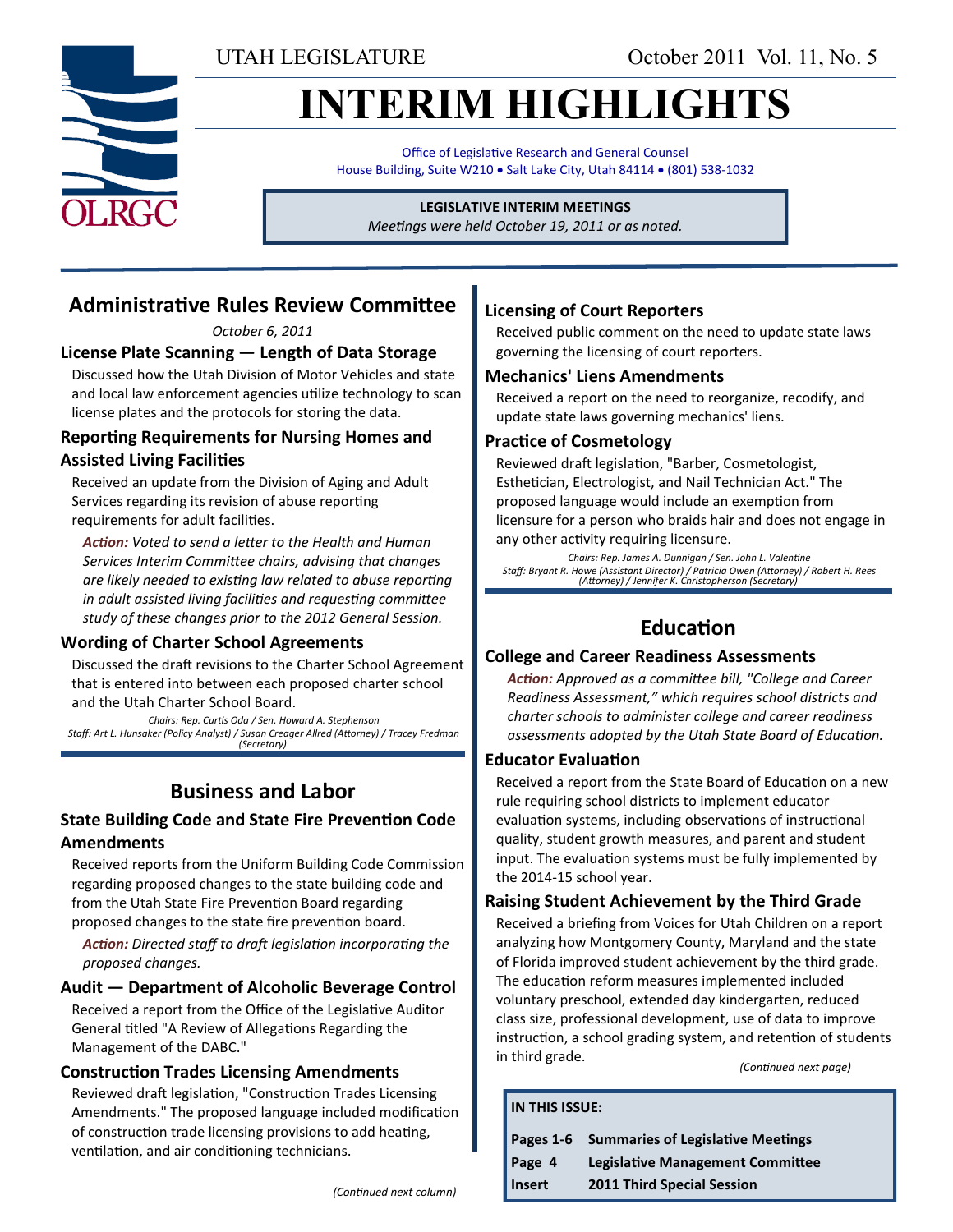UTAH LEGISLATURE October 2011 Vol. 11, No. 5

# **INTERIM HIGHLIGHTS**

Office of Legislative Research and General Counsel House Building, Suite W210 . Salt Lake City, Utah 84114 . (801) 538-1032

#### **LEGISLATIVE INTERIM MEETINGS**

*Meetings were held October 19, 2011 or as noted.*

# **Administrative Rules Review Committee**

*October 6, 2011*

### **License Plate Scanning — Length of Data Storage**

Discussed how the Utah Division of Motor Vehicles and state and local law enforcement agencies utilize technology to scan license plates and the protocols for storing the data.

#### **Reporting Requirements for Nursing Homes and Assisted Living Facilities**

Received an update from the Division of Aging and Adult Services regarding its revision of abuse reporting requirements for adult facilities.

*Action: Voted to send a letter to the Health and Human Services Interim Committee chairs, advising that changes are likely needed to existing law related to abuse reporting in adult assisted living facilities and requesting committee study of these changes prior to the 2012 General Session.*

#### **Wording of Charter School Agreements**

Discussed the draft revisions to the Charter School Agreement that is entered into between each proposed charter school and the Utah Charter School Board.

*Chairs: Rep. Curtis Oda / Sen. Howard A. Stephenson Staff: Art L. Hunsaker (Policy Analyst) / Susan Creager Allred (Attorney) / Tracey Fredman (Secretary)*

# **Business and Labor**

#### **State Building Code and State Fire Prevention Code Amendments**

Received reports from the Uniform Building Code Commission regarding proposed changes to the state building code and from the Utah State Fire Prevention Board regarding proposed changes to the state fire prevention board.

*Action: Directed staff to draft legislation incorporating the proposed changes.*

#### **Audit — Department of Alcoholic Beverage Control**

Received a report from the Office of the Legislative Auditor General titled "A Review of Allegations Regarding the Management of the DABC."

#### **Construction Trades Licensing Amendments**

Reviewed draft legislation, "Construction Trades Licensing Amendments." The proposed language included modification of construction trade licensing provisions to add heating, ventilation, and air conditioning technicians.

#### **Licensing of Court Reporters**

Received public comment on the need to update state laws governing the licensing of court reporters.

#### **Mechanics' Liens Amendments**

Received a report on the need to reorganize, recodify, and update state laws governing mechanics' liens.

#### **Practice of Cosmetology**

Reviewed draft legislation, "Barber, Cosmetologist, Esthetician, Electrologist, and Nail Technician Act." The proposed language would include an exemption from licensure for a person who braids hair and does not engage in any other activity requiring licensure.

*Chairs: Rep. James A. Dunnigan / Sen. John L. Valentine Staff: Bryant R. Howe (Assistant Director) / Patricia Owen (Attorney) / Robert H. Rees (Attorney) / Jennifer K. Christopherson (Secretary)*

# **Education**

#### **College and Career Readiness Assessments**

*Action: Approved as a committee bill, "College and Career Readiness Assessment," which requires school districts and charter schools to administer college and career readiness assessments adopted by the Utah State Board of Education.*

#### **Educator Evaluation**

**IN THIS ISSUE:**

Received a report from the State Board of Education on a new rule requiring school districts to implement educator evaluation systems, including observations of instructional quality, student growth measures, and parent and student input. The evaluation systems must be fully implemented by the 2014-15 school year.

#### **Raising Student Achievement by the Third Grade**

Received a briefing from Voices for Utah Children on a report analyzing how Montgomery County, Maryland and the state of Florida improved student achievement by the third grade. The education reform measures implemented included voluntary preschool, extended day kindergarten, reduced class size, professional development, use of data to improve instruction, a school grading system, and retention of students in third grade.

*(Continued next page)*

|               | Pages 1-6 Summaries of Legislative Meetings |
|---------------|---------------------------------------------|
| Page 4        | <b>Legislative Management Committee</b>     |
| <b>Insert</b> | <b>2011 Third Special Session</b>           |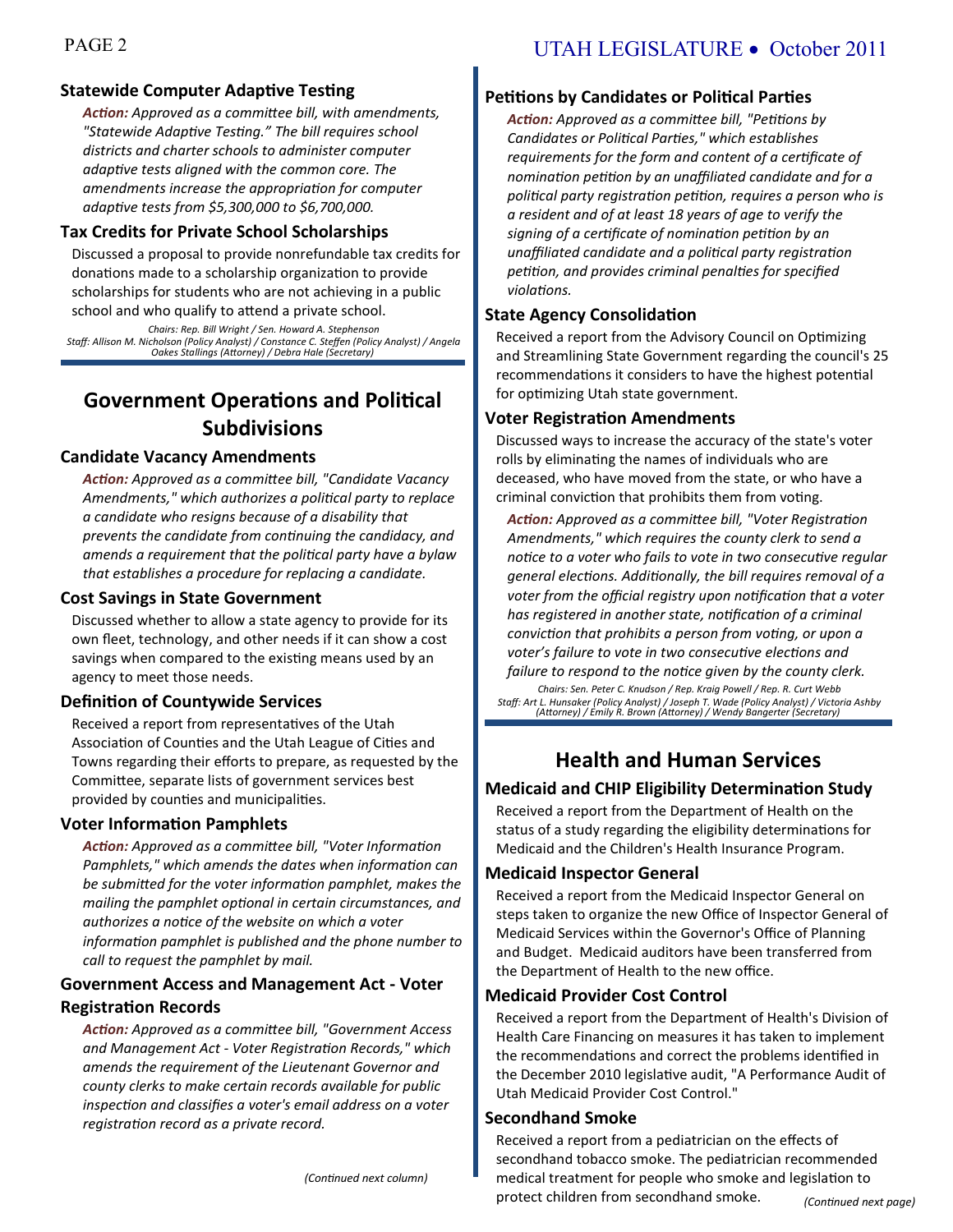### **Statewide Computer Adaptive Testing**

*Action: Approved as a committee bill, with amendments, "Statewide Adaptive Testing." The bill requires school districts and charter schools to administer computer adaptive tests aligned with the common core. The amendments increase the appropriation for computer adaptive tests from \$5,300,000 to \$6,700,000.*

#### **Tax Credits for Private School Scholarships**

Discussed a proposal to provide nonrefundable tax credits for donations made to a scholarship organization to provide scholarships for students who are not achieving in a public school and who qualify to attend a private school.

*Chairs: Rep. Bill Wright / Sen. Howard A. Stephenson Staff: Allison M. Nicholson (Policy Analyst) / Constance C. Steffen (Policy Analyst) / Angela Oakes Stallings (Attorney) / Debra Hale (Secretary)*

# **Government Operations and Political Subdivisions**

#### **Candidate Vacancy Amendments**

*Action: Approved as a committee bill, "Candidate Vacancy Amendments," which authorizes a political party to replace a candidate who resigns because of a disability that prevents the candidate from continuing the candidacy, and amends a requirement that the political party have a bylaw that establishes a procedure for replacing a candidate.*

#### **Cost Savings in State Government**

Discussed whether to allow a state agency to provide for its own fleet, technology, and other needs if it can show a cost savings when compared to the existing means used by an agency to meet those needs.

#### **Definition of Countywide Services**

Received a report from representatives of the Utah Association of Counties and the Utah League of Cities and Towns regarding their efforts to prepare, as requested by the Committee, separate lists of government services best provided by counties and municipalities.

#### **Voter Information Pamphlets**

*Action: Approved as a committee bill, "Voter Information Pamphlets," which amends the dates when information can be submitted for the voter information pamphlet, makes the mailing the pamphlet optional in certain circumstances, and authorizes a notice of the website on which a voter information pamphlet is published and the phone number to call to request the pamphlet by mail.*

#### **Government Access and Management Act - Voter Registration Records**

*Action: Approved as a committee bill, "Government Access and Management Act - Voter Registration Records," which amends the requirement of the Lieutenant Governor and county clerks to make certain records available for public inspection and classifies a voter's email address on a voter registration record as a private record.*

## **Petitions by Candidates or Political Parties**

*Action: Approved as a committee bill, "Petitions by Candidates or Political Parties," which establishes requirements for the form and content of a certificate of nomination petition by an unaffiliated candidate and for a political party registration petition, requires a person who is a resident and of at least 18 years of age to verify the signing of a certificate of nomination petition by an unaffiliated candidate and a political party registration petition, and provides criminal penalties for specified violations.*

### **State Agency Consolidation**

Received a report from the Advisory Council on Optimizing and Streamlining State Government regarding the council's 25 recommendations it considers to have the highest potential for optimizing Utah state government.

### **Voter Registration Amendments**

Discussed ways to increase the accuracy of the state's voter rolls by eliminating the names of individuals who are deceased, who have moved from the state, or who have a criminal conviction that prohibits them from voting.

*Action: Approved as a committee bill, "Voter Registration Amendments," which requires the county clerk to send a notice to a voter who fails to vote in two consecutive regular general elections. Additionally, the bill requires removal of a voter from the official registry upon notification that a voter has registered in another state, notification of a criminal conviction that prohibits a person from voting, or upon a voter's failure to vote in two consecutive elections and* 

*failure to respond to the notice given by the county clerk. Chairs: Sen. Peter C. Knudson / Rep. Kraig Powell / Rep. R. Curt Webb*

*Staff: Art L. Hunsaker (Policy Analyst) / Joseph T. Wade (Policy Analyst) / Victoria Ashby (Attorney) / Emily R. Brown (Attorney) / Wendy Bangerter (Secretary)*

# **Health and Human Services**

## **Medicaid and CHIP Eligibility Determination Study**

Received a report from the Department of Health on the status of a study regarding the eligibility determinations for Medicaid and the Children's Health Insurance Program.

#### **Medicaid Inspector General**

Received a report from the Medicaid Inspector General on steps taken to organize the new Office of Inspector General of Medicaid Services within the Governor's Office of Planning and Budget. Medicaid auditors have been transferred from the Department of Health to the new office.

#### **Medicaid Provider Cost Control**

Received a report from the Department of Health's Division of Health Care Financing on measures it has taken to implement the recommendations and correct the problems identified in the December 2010 legislative audit, "A Performance Audit of Utah Medicaid Provider Cost Control."

#### **Secondhand Smoke**

Received a report from a pediatrician on the effects of secondhand tobacco smoke. The pediatrician recommended medical treatment for people who smoke and legislation to protect children from secondhand smoke.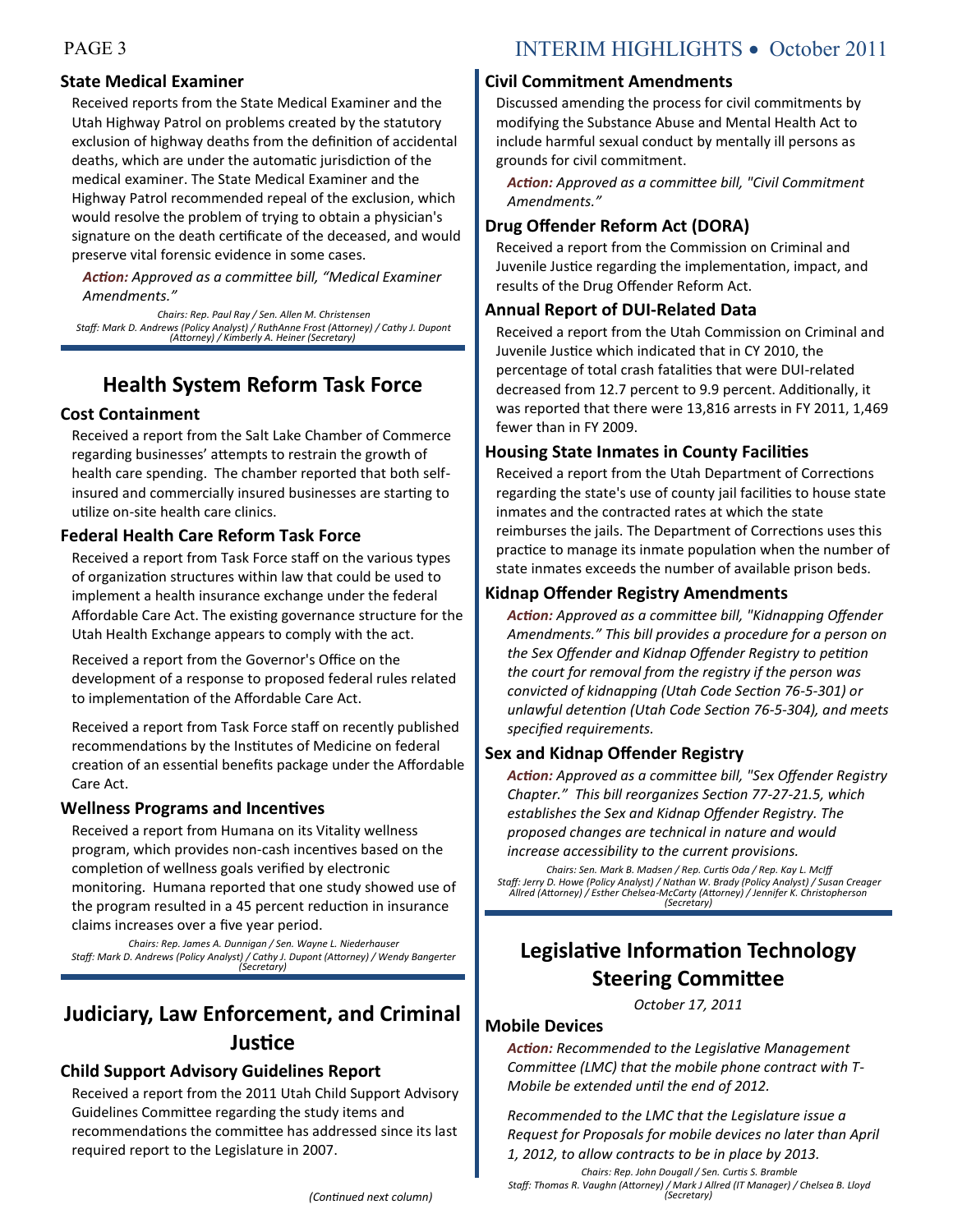#### **State Medical Examiner**

Received reports from the State Medical Examiner and the Utah Highway Patrol on problems created by the statutory exclusion of highway deaths from the definition of accidental deaths, which are under the automatic jurisdiction of the medical examiner. The State Medical Examiner and the Highway Patrol recommended repeal of the exclusion, which would resolve the problem of trying to obtain a physician's signature on the death certificate of the deceased, and would preserve vital forensic evidence in some cases.

*Action: Approved as a committee bill, "Medical Examiner Amendments."* 

*Chairs: Rep. Paul Ray / Sen. Allen M. Christensen Staff: Mark D. Andrews (Policy Analyst) / RuthAnne Frost (Attorney) / Cathy J. Dupont (Attorney) / Kimberly A. Heiner (Secretary)*

# **Health System Reform Task Force**

#### **Cost Containment**

Received a report from the Salt Lake Chamber of Commerce regarding businesses' attempts to restrain the growth of health care spending. The chamber reported that both selfinsured and commercially insured businesses are starting to utilize on-site health care clinics.

#### **Federal Health Care Reform Task Force**

Received a report from Task Force staff on the various types of organization structures within law that could be used to implement a health insurance exchange under the federal Affordable Care Act. The existing governance structure for the Utah Health Exchange appears to comply with the act.

Received a report from the Governor's Office on the development of a response to proposed federal rules related to implementation of the Affordable Care Act.

Received a report from Task Force staff on recently published recommendations by the Institutes of Medicine on federal creation of an essential benefits package under the Affordable Care Act.

#### **Wellness Programs and Incentives**

Received a report from Humana on its Vitality wellness program, which provides non-cash incentives based on the completion of wellness goals verified by electronic monitoring. Humana reported that one study showed use of the program resulted in a 45 percent reduction in insurance claims increases over a five year period.

*Chairs: Rep. James A. Dunnigan / Sen. Wayne L. Niederhauser Staff: Mark D. Andrews (Policy Analyst) / Cathy J. Dupont (Attorney) / Wendy Bangerter (Secretary)*

# **Judiciary, Law Enforcement, and Criminal Justice**

#### **Child Support Advisory Guidelines Report**

Received a report from the 2011 Utah Child Support Advisory Guidelines Committee regarding the study items and recommendations the committee has addressed since its last required report to the Legislature in 2007.

#### **Civil Commitment Amendments**

Discussed amending the process for civil commitments by modifying the Substance Abuse and Mental Health Act to include harmful sexual conduct by mentally ill persons as grounds for civil commitment.

*Action: Approved as a committee bill, "Civil Commitment Amendments."*

#### **Drug Offender Reform Act (DORA)**

Received a report from the Commission on Criminal and Juvenile Justice regarding the implementation, impact, and results of the Drug Offender Reform Act.

#### **Annual Report of DUI-Related Data**

Received a report from the Utah Commission on Criminal and Juvenile Justice which indicated that in CY 2010, the percentage of total crash fatalities that were DUI-related decreased from 12.7 percent to 9.9 percent. Additionally, it was reported that there were 13,816 arrests in FY 2011, 1,469 fewer than in FY 2009.

#### **Housing State Inmates in County Facilities**

Received a report from the Utah Department of Corrections regarding the state's use of county jail facilities to house state inmates and the contracted rates at which the state reimburses the jails. The Department of Corrections uses this practice to manage its inmate population when the number of state inmates exceeds the number of available prison beds.

#### **Kidnap Offender Registry Amendments**

*Action: Approved as a committee bill, "Kidnapping Offender Amendments." This bill provides a procedure for a person on the Sex Offender and Kidnap Offender Registry to petition the court for removal from the registry if the person was convicted of kidnapping (Utah Code Section 76-5-301) or unlawful detention (Utah Code Section 76-5-304), and meets specified requirements.*

#### **Sex and Kidnap Offender Registry**

*Action: Approved as a committee bill, "Sex Offender Registry Chapter." This bill reorganizes Section 77-27-21.5, which establishes the Sex and Kidnap Offender Registry. The proposed changes are technical in nature and would increase accessibility to the current provisions.*

*Chairs: Sen. Mark B. Madsen / Rep. Curtis Oda / Rep. Kay L. McIff Staff: Jerry D. Howe (Policy Analyst) / Nathan W. Brady (Policy Analyst) / Susan Creager Allred (Attorney) / Esther Chelsea-McCarty (Attorney) / Jennifer K. Christopherson (Secretary)*

# **Legislative Information Technology Steering Committee**

*October 17, 2011*

#### **Mobile Devices**

*Action: Recommended to the Legislative Management Committee (LMC) that the mobile phone contract with T-Mobile be extended until the end of 2012.*

*Recommended to the LMC that the Legislature issue a Request for Proposals for mobile devices no later than April 1, 2012, to allow contracts to be in place by 2013.*

*Chairs: Rep. John Dougall / Sen. Curtis S. Bramble Staff: Thomas R. Vaughn (Attorney) / Mark J Allred (IT Manager) / Chelsea B. Lloyd (Secretary) (Continued next page) (Continued next column)*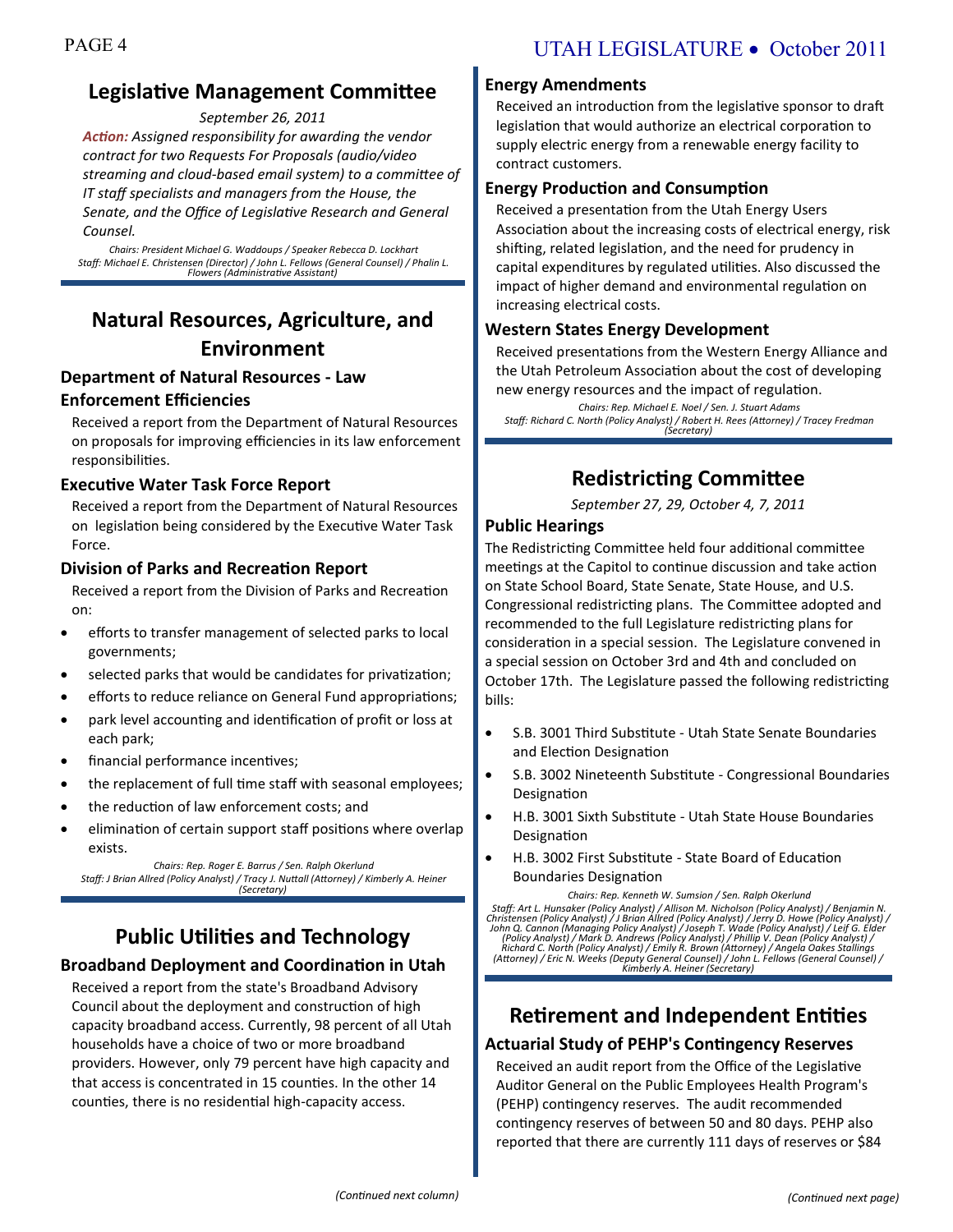# **Legislative Management Committee**

*September 26, 2011*

*Action: Assigned responsibility for awarding the vendor contract for two Requests For Proposals (audio/video streaming and cloud-based email system) to a committee of IT staff specialists and managers from the House, the Senate, and the Office of Legislative Research and General Counsel.*

*Chairs: President Michael G. Waddoups / Speaker Rebecca D. Lockhart Staff: Michael E. Christensen (Director) / John L. Fellows (General Counsel) / Phalin L. Flowers (Administrative Assistant)*

# **Natural Resources, Agriculture, and Environment**

#### **Department of Natural Resources - Law Enforcement Efficiencies**

Received a report from the Department of Natural Resources on proposals for improving efficiencies in its law enforcement responsibilities.

#### **Executive Water Task Force Report**

Received a report from the Department of Natural Resources on legislation being considered by the Executive Water Task Force.

#### **Division of Parks and Recreation Report**

Received a report from the Division of Parks and Recreation on:

- efforts to transfer management of selected parks to local governments;
- selected parks that would be candidates for privatization;
- efforts to reduce reliance on General Fund appropriations;
- park level accounting and identification of profit or loss at each park;
- financial performance incentives;
- the replacement of full time staff with seasonal employees;
- the reduction of law enforcement costs; and
- elimination of certain support staff positions where overlap exists.

*Chairs: Rep. Roger E. Barrus / Sen. Ralph Okerlund Staff: J Brian Allred (Policy Analyst) / Tracy J. Nuttall (Attorney) / Kimberly A. Heiner (Secretary)*

# **Public Utilities and Technology Broadband Deployment and Coordination in Utah**

Received a report from the state's Broadband Advisory Council about the deployment and construction of high capacity broadband access. Currently, 98 percent of all Utah households have a choice of two or more broadband providers. However, only 79 percent have high capacity and that access is concentrated in 15 counties. In the other 14 counties, there is no residential high-capacity access.

#### **Energy Amendments**

Received an introduction from the legislative sponsor to draft legislation that would authorize an electrical corporation to supply electric energy from a renewable energy facility to contract customers.

#### **Energy Production and Consumption**

Received a presentation from the Utah Energy Users Association about the increasing costs of electrical energy, risk shifting, related legislation, and the need for prudency in capital expenditures by regulated utilities. Also discussed the impact of higher demand and environmental regulation on increasing electrical costs.

#### **Western States Energy Development**

Received presentations from the Western Energy Alliance and the Utah Petroleum Association about the cost of developing new energy resources and the impact of regulation.

*Chairs: Rep. Michael E. Noel / Sen. J. Stuart Adams Staff: Richard C. North (Policy Analyst) / Robert H. Rees (Attorney) / Tracey Fredman (Secretary)*

# **Redistricting Committee**

*September 27, 29, October 4, 7, 2011*

#### **Public Hearings**

The Redistricting Committee held four additional committee meetings at the Capitol to continue discussion and take action on State School Board, State Senate, State House, and U.S. Congressional redistricting plans. The Committee adopted and recommended to the full Legislature redistricting plans for consideration in a special session. The Legislature convened in a special session on October 3rd and 4th and concluded on October 17th. The Legislature passed the following redistricting bills:

- S.B. 3001 Third Substitute Utah State Senate Boundaries and Election Designation
- S.B. 3002 Nineteenth Substitute Congressional Boundaries Designation
- H.B. 3001 Sixth Substitute Utah State House Boundaries Designation
- H.B. 3002 First Substitute State Board of Education Boundaries Designation

*Chairs: Rep. Kenneth W. Sumsion / Sen. Ralph Okerlund* Staff: Art L. Hunsaker (Policy Analyst) / Allison M. Nicholson (Policy Analyst) / Benjamin N.<br>Christensen (Policy Analyst) / J Brian Allred (Policy Analyst) / Jerry D. Howe (Policy Analyst) /<br>John Q. Cannon (Managing Polic *Richard C. North (Policy Analyst) / Emily R. Brown (Attorney) / Angela Oakes Stallings (Attorney) / Eric N. Weeks (Deputy General Counsel) / John L. Fellows (General Counsel) / Kimberly A. Heiner (Secretary)*

# **Retirement and Independent Entities Actuarial Study of PEHP's Contingency Reserves**

Received an audit report from the Office of the Legislative Auditor General on the Public Employees Health Program's (PEHP) contingency reserves. The audit recommended contingency reserves of between 50 and 80 days. PEHP also reported that there are currently 111 days of reserves or \$84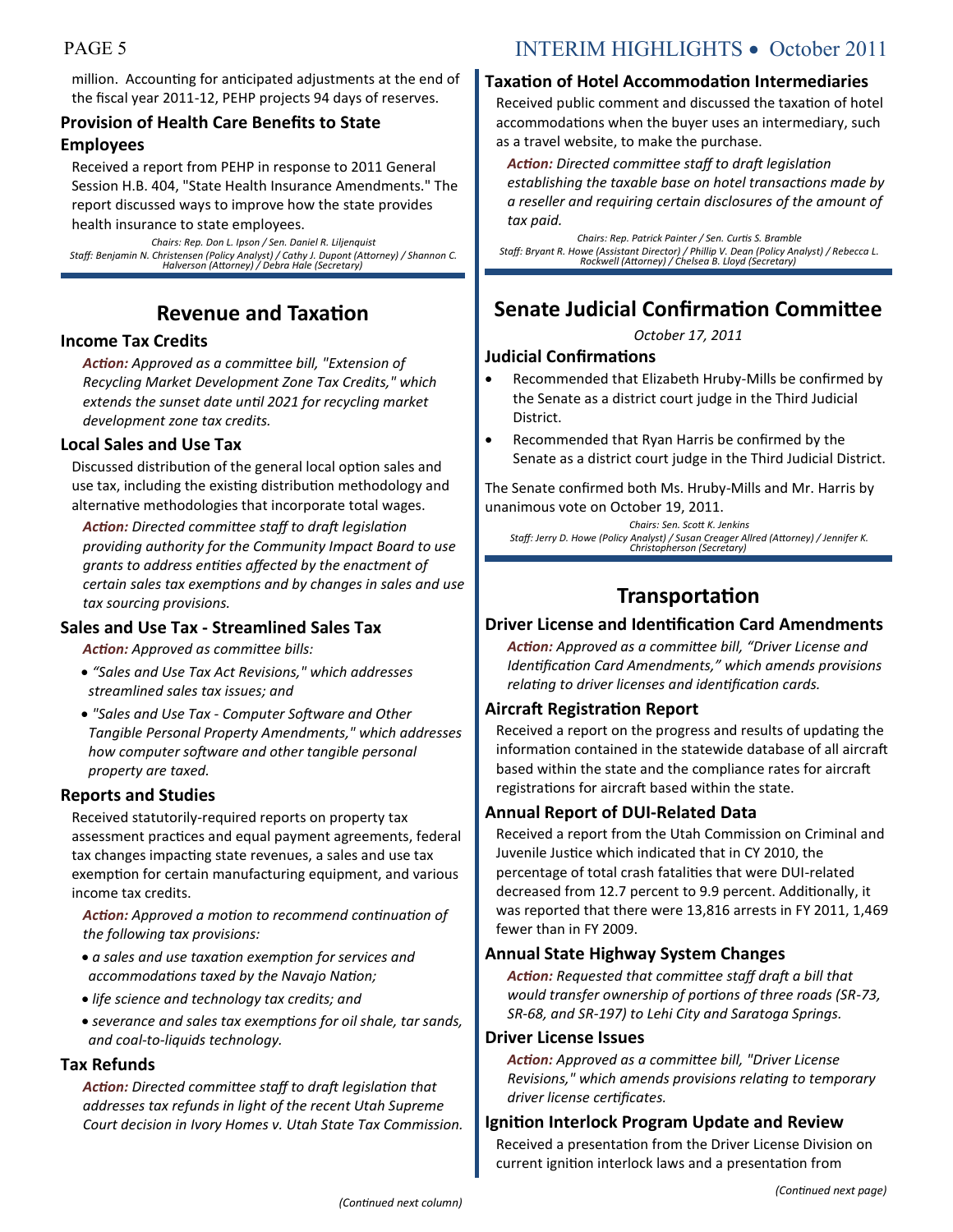million. Accounting for anticipated adjustments at the end of the fiscal year 2011-12, PEHP projects 94 days of reserves.

## **Provision of Health Care Benefits to State Employees**

Received a report from PEHP in response to 2011 General Session H.B. 404, "State Health Insurance Amendments." The report discussed ways to improve how the state provides health insurance to state employees.

*Chairs: Rep. Don L. Ipson / Sen. Daniel R. Liljenquist Staff: Benjamin N. Christensen (Policy Analyst) / Cathy J. Dupont (Attorney) / Shannon C. Halverson (Attorney) / Debra Hale (Secretary)*

# **Revenue and Taxation**

#### **Income Tax Credits**

*Action: Approved as a committee bill, "Extension of Recycling Market Development Zone Tax Credits," which extends the sunset date until 2021 for recycling market development zone tax credits.*

#### **Local Sales and Use Tax**

Discussed distribution of the general local option sales and use tax, including the existing distribution methodology and alternative methodologies that incorporate total wages.

*Action: Directed committee staff to draft legislation providing authority for the Community Impact Board to use grants to address entities affected by the enactment of certain sales tax exemptions and by changes in sales and use tax sourcing provisions.*

### **Sales and Use Tax - Streamlined Sales Tax**

*Action: Approved as committee bills:*

- *"Sales and Use Tax Act Revisions," which addresses streamlined sales tax issues; and*
- *"Sales and Use Tax - Computer Software and Other Tangible Personal Property Amendments," which addresses how computer software and other tangible personal property are taxed.*

#### **Reports and Studies**

Received statutorily-required reports on property tax assessment practices and equal payment agreements, federal tax changes impacting state revenues, a sales and use tax exemption for certain manufacturing equipment, and various income tax credits.

*Action: Approved a motion to recommend continuation of the following tax provisions:*

- *a sales and use taxation exemption for services and accommodations taxed by the Navajo Nation;*
- *life science and technology tax credits; and*
- *severance and sales tax exemptions for oil shale, tar sands, and coal-to-liquids technology.*

#### **Tax Refunds**

*Action: Directed committee staff to draft legislation that addresses tax refunds in light of the recent Utah Supreme Court decision in Ivory Homes v. Utah State Tax Commission.*

# PAGE 5 INTERIM HIGHLIGHTS • October 2011

#### **Taxation of Hotel Accommodation Intermediaries**

Received public comment and discussed the taxation of hotel accommodations when the buyer uses an intermediary, such as a travel website, to make the purchase.

*Action: Directed committee staff to draft legislation establishing the taxable base on hotel transactions made by a reseller and requiring certain disclosures of the amount of tax paid.*

*Chairs: Rep. Patrick Painter / Sen. Curtis S. Bramble Staff: Bryant R. Howe (Assistant Director) / Phillip V. Dean (Policy Analyst) / Rebecca L. Rockwell (Attorney) / Chelsea B. Lloyd (Secretary)*

# **Senate Judicial Confirmation Committee**

*October 17, 2011*

#### **Judicial Confirmations**

- Recommended that Elizabeth Hruby-Mills be confirmed by the Senate as a district court judge in the Third Judicial District.
- Recommended that Ryan Harris be confirmed by the Senate as a district court judge in the Third Judicial District.

The Senate confirmed both Ms. Hruby-Mills and Mr. Harris by unanimous vote on October 19, 2011.

*Chairs: Sen. Scott K. Jenkins Staff: Jerry D. Howe (Policy Analyst) / Susan Creager Allred (Attorney) / Jennifer K. Christopherson (Secretary)*

# **Transportation**

#### **Driver License and Identification Card Amendments**

*Action: Approved as a committee bill, "Driver License and Identification Card Amendments," which amends provisions relating to driver licenses and identification cards.*

#### **Aircraft Registration Report**

Received a report on the progress and results of updating the information contained in the statewide database of all aircraft based within the state and the compliance rates for aircraft registrations for aircraft based within the state.

### **Annual Report of DUI-Related Data**

Received a report from the Utah Commission on Criminal and Juvenile Justice which indicated that in CY 2010, the percentage of total crash fatalities that were DUI-related decreased from 12.7 percent to 9.9 percent. Additionally, it was reported that there were 13,816 arrests in FY 2011, 1,469 fewer than in FY 2009.

#### **Annual State Highway System Changes**

*Action: Requested that committee staff draft a bill that would transfer ownership of portions of three roads (SR-73, SR-68, and SR-197) to Lehi City and Saratoga Springs.*

#### **Driver License Issues**

*Action: Approved as a committee bill, "Driver License Revisions," which amends provisions relating to temporary driver license certificates.*

#### **Ignition Interlock Program Update and Review**

Received a presentation from the Driver License Division on current ignition interlock laws and a presentation from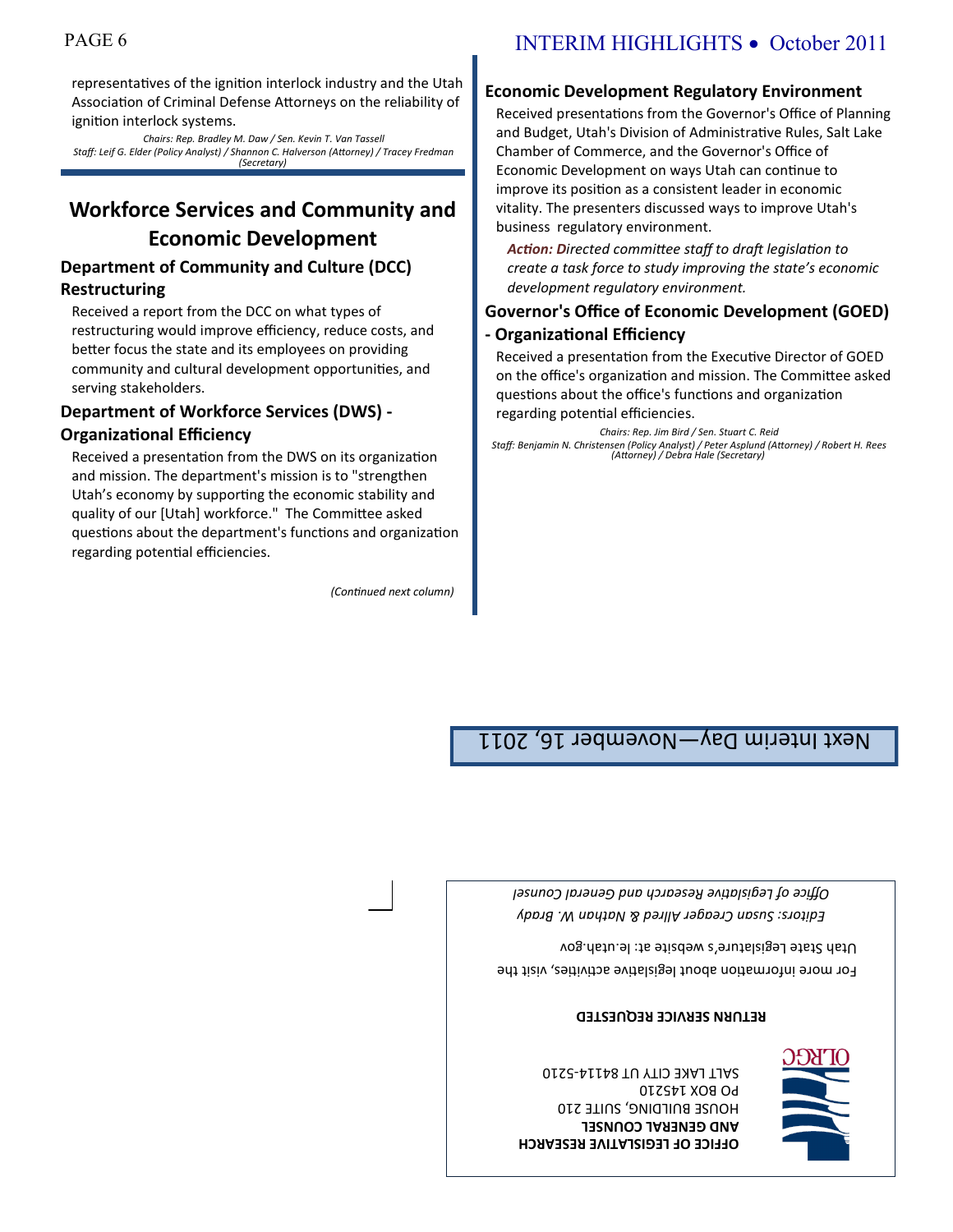#### **OFFICE OF LEGISLATIVE RESEARCH AND GENERAL COUNSEL** HOUSE BUILDING, SUITE 210 PO BOX 145210 SALT LAKE CITY UT 84114-5210



*Editors: Susan Creager Allred & Nathan W. Brady Office of Legislative Research and General Counsel*

**RETURN SERVICE REQUESTED**

For more information about legislative activities, visit the

Utah State Legislature's website at: le.utah.gov

Next Interim Day—November 16, 2011

and mission. The department's mission is to "strengthen Utah's economy by supporting the economic stability and quality of our [Utah] workforce." The Committee asked questions about the department's functions and organization

*(Continued next column)*

# **Department of Workforce Services (DWS) -**

regarding potential efficiencies.

**Organizational Efficiency** Received a presentation from the DWS on its organization

# **Restructuring** Received a report from the DCC on what types of

**Department of Community and Culture (DCC)** 

restructuring would improve efficiency, reduce costs, and better focus the state and its employees on providing community and cultural development opportunities, and serving stakeholders.

Received presentations from the Governor's Office of Planning and Budget, Utah's Division of Administrative Rules, Salt Lake Chamber of Commerce, and the Governor's Office of Economic Development on ways Utah can continue to improve its position as a consistent leader in economic vitality. The presenters discussed ways to improve Utah's business regulatory environment.

**Economic Development Regulatory Environment**

*Action: Directed committee staff to draft legislation to create a task force to study improving the state's economic development regulatory environment.*

## **Governor's Office of Economic Development (GOED) - Organizational Efficiency**

Received a presentation from the Executive Director of GOED on the office's organization and mission. The Committee asked questions about the office's functions and organization

regarding potential efficiencies.

*Chairs: Rep. Jim Bird / Sen. Stuart C. Reid*

*Staff: Benjamin N. Christensen (Policy Analyst) / Peter Asplund (Attorney) / Robert H. Rees (Attorney) / Debra Hale (Secretary)*

# PAGE 6 INTERIM HIGHLIGHTS • October 2011

representatives of the ignition interlock industry and the Utah Association of Criminal Defense Attorneys on the reliability of ignition interlock systems.

*Chairs: Rep. Bradley M. Daw / Sen. Kevin T. Van Tassell Staff: Leif G. Elder (Policy Analyst) / Shannon C. Halverson (Attorney) / Tracey Fredman (Secretary)*

**Workforce Services and Community and Economic Development**